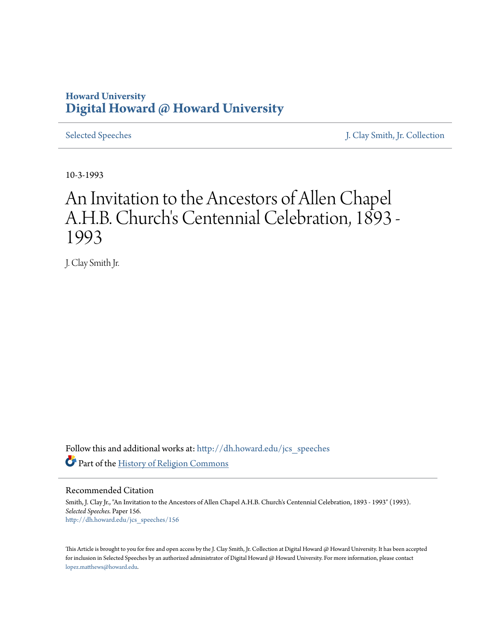## **Howard University [Digital Howard @ Howard University](http://dh.howard.edu?utm_source=dh.howard.edu%2Fjcs_speeches%2F156&utm_medium=PDF&utm_campaign=PDFCoverPages)**

[Selected Speeches](http://dh.howard.edu/jcs_speeches?utm_source=dh.howard.edu%2Fjcs_speeches%2F156&utm_medium=PDF&utm_campaign=PDFCoverPages) [J. Clay Smith, Jr. Collection](http://dh.howard.edu/jcsmith?utm_source=dh.howard.edu%2Fjcs_speeches%2F156&utm_medium=PDF&utm_campaign=PDFCoverPages)

10-3-1993

## An Invitation to the Ancestors of Allen Chapel A.H.B. Church's Centennial Celebration, 1893 - 1993

J. Clay Smith Jr.

Follow this and additional works at: [http://dh.howard.edu/jcs\\_speeches](http://dh.howard.edu/jcs_speeches?utm_source=dh.howard.edu%2Fjcs_speeches%2F156&utm_medium=PDF&utm_campaign=PDFCoverPages) Part of the [History of Religion Commons](http://network.bepress.com/hgg/discipline/499?utm_source=dh.howard.edu%2Fjcs_speeches%2F156&utm_medium=PDF&utm_campaign=PDFCoverPages)

Recommended Citation

Smith, J. Clay Jr., "An Invitation to the Ancestors of Allen Chapel A.H.B. Church's Centennial Celebration, 1893 - 1993" (1993). *Selected Speeches.* Paper 156. [http://dh.howard.edu/jcs\\_speeches/156](http://dh.howard.edu/jcs_speeches/156?utm_source=dh.howard.edu%2Fjcs_speeches%2F156&utm_medium=PDF&utm_campaign=PDFCoverPages)

This Article is brought to you for free and open access by the J. Clay Smith, Jr. Collection at Digital Howard @ Howard University. It has been accepted for inclusion in Selected Speeches by an authorized administrator of Digital Howard @ Howard University. For more information, please contact [lopez.matthews@howard.edu.](mailto:lopez.matthews@howard.edu)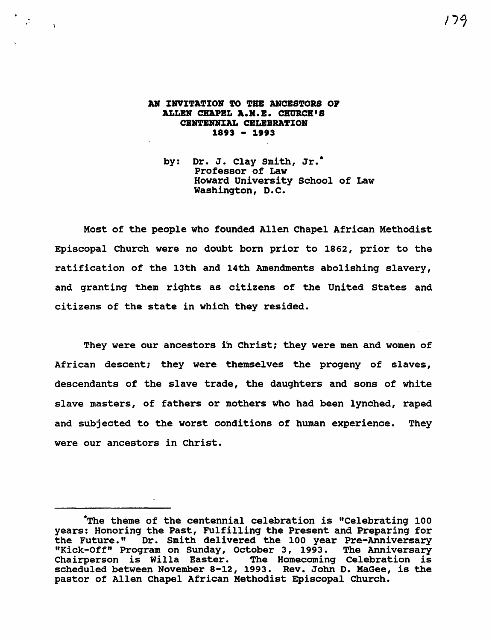## AN INVITATION TO THE ANCESTORS OF ALLER CHAPEL A.H.B. CHURCH'S CBRTBHRIAL CBLEBRATIOR 1893 - 1993

"

 $\ddot{\cdot}$ 

by: Dr. J. Clay Smith, Jr.\* Professor of Law Howard University school of Law Washington, D.C.

Most of the people who founded Allen Chapel African Methodist Episcopal Church were no doubt born prior to 1862, prior to the ratification of the 13th and 14th Amendments abolishing slavery, and granting them rights as citizens of the United states and citizens of the state in which they resided.

They were our ancestors in Christ; they were men and women of African descent; they were themselves the progeny of slaves, descendants of the slave trade, the daughters and sons of white slave masters, of fathers or mothers who had been lynched, raped and subjected to the worst conditions of human experience. They were our ancestors in Christ.

<sup>\*</sup>The theme of the centennial celebration is "Celebrating 100 years: Honoring the Past, Fulfilling the Present and Preparing for<br>the Future." Dr. Smith delivered the 100 year Pre-Anniversary Dr. Smith delivered the 100 year Pre-Anniversary "Kick-Off" Program on Sunday, October 3, 1993. The Anniversary Chairperson is willa Easter. The Homecoming Celebration is scheduled between November 8-12, 1993. Rev. John D. MaGee, is the pastor of Allen Chapel African Methodist Episcopal Church.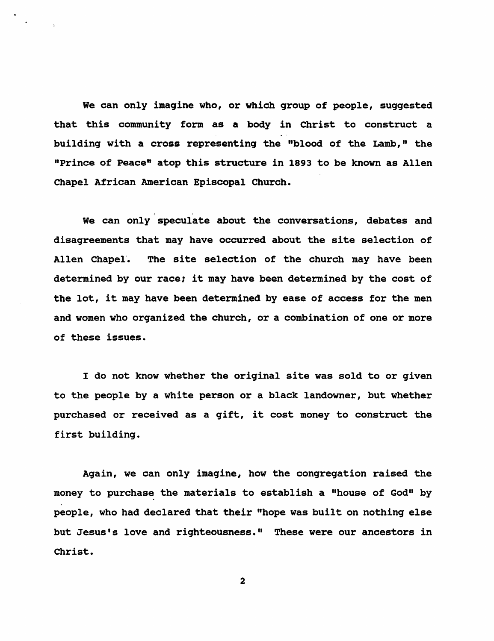We can only imagine who, or which group of people, suggested that this community form as a body in Christ to construct a building with a cross representing the "blood of the Lamb," the "Prince of Peace" atop this structure in 1893 to be known as Allen Chapel African American Episcopal Church.

 $\mathcal{L}^{\text{max}}(\mathcal{L})$ We can only speculate about the conversations, debates and disagreements that may have occurred about the site selection of Allen Chapel. The site selection of the church may have been determined by our race; it may have been determined by the cost of the lot, it may have been determined by ease of access for the men and women who organized the church, or a combination of one or more of these issues.

I do not know whether the original site was sold to or given to the people by a white person or a black landowner, but whether purchased or received as a gift, it cost money to construct the first building.

Again, we can only imagine, how the congregation raised the money to purchase the materials to establish a "house of God" by people, who had declared that their "hope was built on nothing else but Jesus's love and righteousness." These were our ancestors in Christ.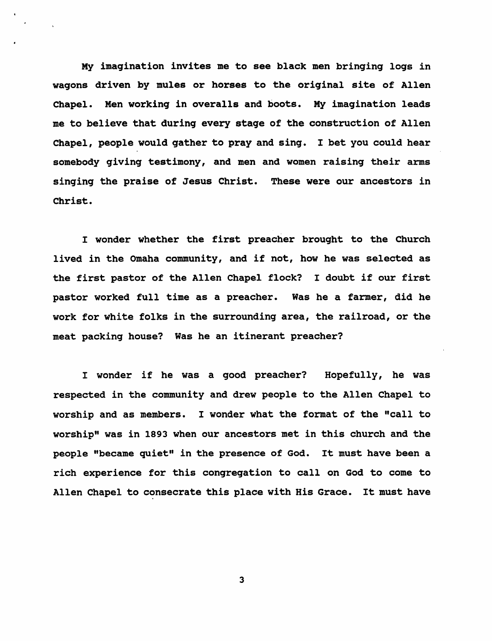My imagination invites me to see black men bringing logs in wagons driven by mules or horses to the original site of Allen Chapel. Men working in overalls and boots. My imagination leads me to believe that during every stage of the construction of Allen Chapel, people would gather to pray and sing. I bet you could hear somebody giving testimony, and men and women raising their arms singing the praise of Jesus Christ. These were our ancestors in Christ.

I wonder whether the first preacher brought to the Church lived in the Omaha community, and if not, how he was selected as the first pastor of the Allen Chapel flock? I doubt if our first pastor worked full time as a preacher. Was he a farmer, did he work for white folks in the surrounding area, the railroad, or the meat packing house? Was he an itinerant preacher?

I wonder if he was a good preacher? Hopefully, he was respected in the community and drew people to the Allen Chapel to worship and as members. I wonder what the format of the "call to worship" was in 1893 when our ancestors met in this church and the people "became quiet" in the presence of God. It must have been a rich experience for this congregation to call on God to come to Allen Chapel to consecrate this place with His Grace. It must have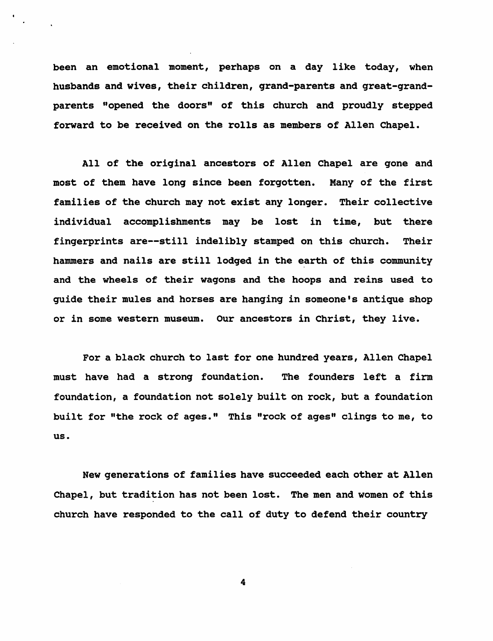been an emotional moment, perhaps on a day like today, when husbands and wives, their children, grand-parents and great-grandparents "opened the doors" of this church and proudly stepped forward to be received on the rolls as members of Allen Chapel.

All of the oriqinal ancestors of Allen Chapel are gone and most of them have long since been forgotten. Many of the first families of the church may not exist any longer. Their collective individual accomplishments may be lost in time, but there fingerprints are--still indelibly stamped on this church. Their hammers and nails are still lodged in the earth of this community and the wheels of their wagons and the hoops and reins used to guide their mules and horses are hanging in someone's antique shop or in some western museum. Our ancestors in Christ, they live.

For a black church to last for one hundred years, Allen Chapel must have had a strong foundation. The founders left a firm foundation, a foundation not solely built on rock, but a foundation built for "the rock of ages." This "rock of ages" clings to me, to us.

New generations of families have succeeded each other at Allen Chapel, but tradition has not been lost. The men and women of this church have responded to the call of duty to defend their country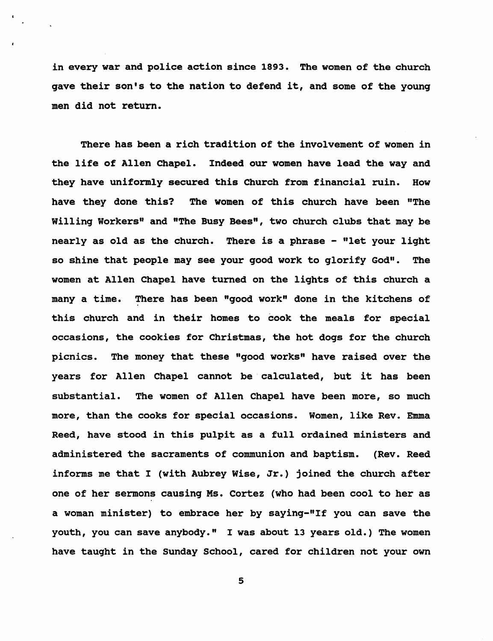in every war and police action since 1893. The women of the church gave their son's to the nation to defend it, and some of the young men did not return.

There has been a rich tradition of the involvement of women in the life of Allen Chapel. Indeed our women have lead the way and they have uniformly secured this Church from financial ruin. How have they done this? The women of this church have been "The Willing Workers" and "The Busy Bees", two church clubs that may be nearly as old as the church. There is a phrase - "let your light so shine that people may see your good work to glorify God". The women at Allen Chapel have turned on the lights of this church a many a time. There has been "good work" done in the kitchens of this church and in their homes to cook the meals for special occasions, the cookies for Christmas, the hot dogs for the church picnics. The money that these "good works" have raised over the years for Allen Chapel cannot be calculated, but it has been substantial. The women of Allen Chapel have been more, so much more, than the cooks for special occasions. Women, like Rev. Emma Reed, have stood in this pulpit as a full ordained ministers and administered the sacraments of communion and baptism. (Rev. Reed informs me that I (with Aubrey Wise, Jr.) joined the church after one of her sermons causing Ms. Cortez (who had been cool to her as a woman minister) to embrace her by saying-"If you can save the youth, you can save anybody." I was about 13 years old.) The women have taught in the Sunday School, cared for children not your own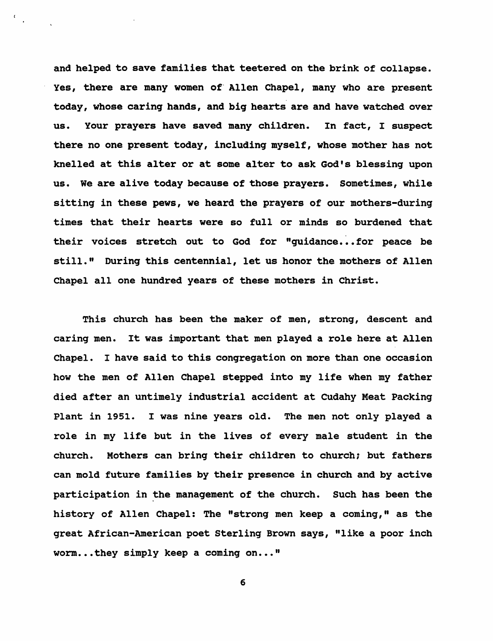and helped to save families that teetered on the brink of collapse. Yes, there are many women of' Allen Chapel, many who are present today, whose carinq hands, and biq hearts are and have watched over us. Your prayers have saved many children. In fact, I suspect there no one present today, includinq myself, whose mother has not knelled at this alter or at some alter to ask God's blessinq upon us. We are alive today because of those prayers. Sometimes, while sittinq in these pews, we heard the prayers of our mothers-durinq times that their hearts were so full or minds so burdened that their voices stretch out to God for "quidance...for peace be still." Durinq this centennial, let us honor the mothers of Allen Chapel all one hundred years of these mothers in Christ.

This church has been the maker of men, stronq, descent and carinq men. It was important that men played a role here at Allen Chapel. I have said to this conqreqation on more than one occasion how the men of Allen Chapel stepped into my life when my father died after an untimely industrial accident at Cudahy Meat Packinq Plant in 1951. I was nine years old. The men not only played a role in my life but in the lives of every male student in the church. Mothers can brinq their children to church; but fathers can mold future families by their presence in church and by active participation in the management of the church. Such has been the history of Allen Chapel: The "stronq men keep a cominq," as the qreat African-American poet Sterlinq Brown says, "like a poor inch  $worm...$  they simply keep a coming on..."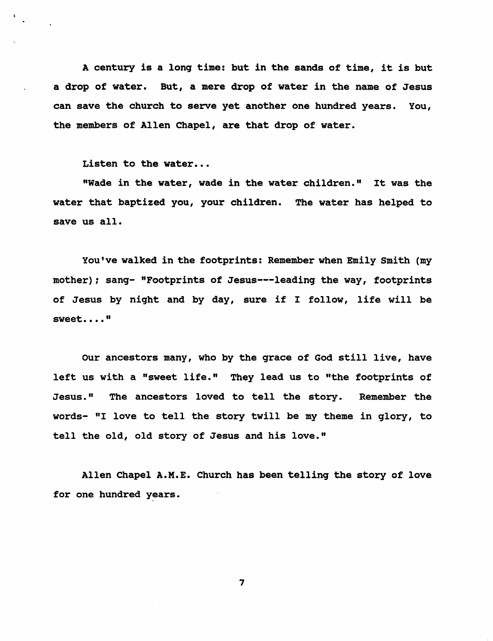A century is a long time: but in the sands of time, it is but a drop of water. But, a mere drop of water in the name of Jesus can save the church to serve yet another one hundred years. You, the members of Allen Chapel, are that drop of water.

Listen to the water...

"Wade in the water, wade in the water children." It was the water that baptized you, your children. The water has helped to save us all.

You've walked in the footprints: Remember when Emily smith (my mother); sang- "Footprints of Jesus---leading the way, footprints of Jesus by night and by day, sure if I follow, life will be sweet...."

Our ancestors many, who by the grace of God still live, have left us with a "sweet life." They lead us to "the footprints of Jesus." The ancestors loved to tell the story. Remember the words- "I love to tell the story twill be my theme in glory, to tell the old, old story of Jesus and his love."

Allen Chapel A.M.E. Church has been telling the story of love for one hundred years.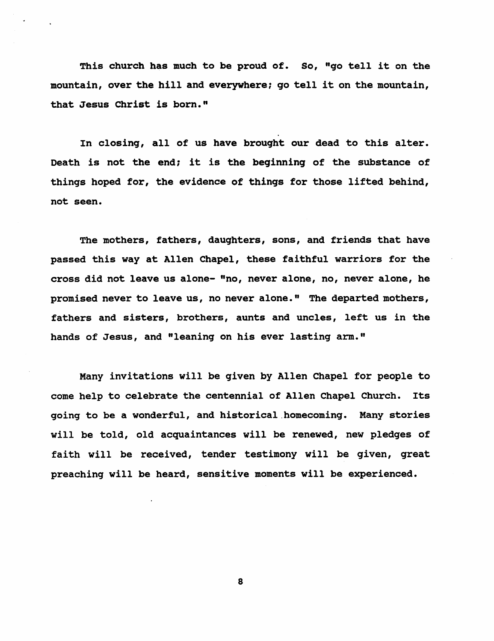This church has much to be proud of. So, "go tell it on the mountain, over the hill and everywhere; go tell it on the mountain, that Jesus Christ is born."

In closing, all of us have brought our dead to this alter. Death is not the end: it is the beginning of the substance of things hoped for, the evidence of things for those lifted behind, not seen.

The mothers, fathers, daughters, sons, and friends that have passed this way at Allen Chapel, these faithful warriors for the cross did not leave us alone- "no, never alone, no, never alone, he promised never to leave us, no never alone." The departed mothers, fathers and sisters, brothers, aunts and uncles, left us in the hands of Jesus, and "leaning on his ever lasting arm."

Many invitations will be given by Allen Chapel for people to come help to celebrate the centennial of Allen Chapel Church. Its going to be a wonderful, and historical homecoming. Many stories will be told, old acquaintances will be renewed, new pledges of faith will be received, tender testimony will be given, great preaching will be heard, sensitive moments will be experienced.